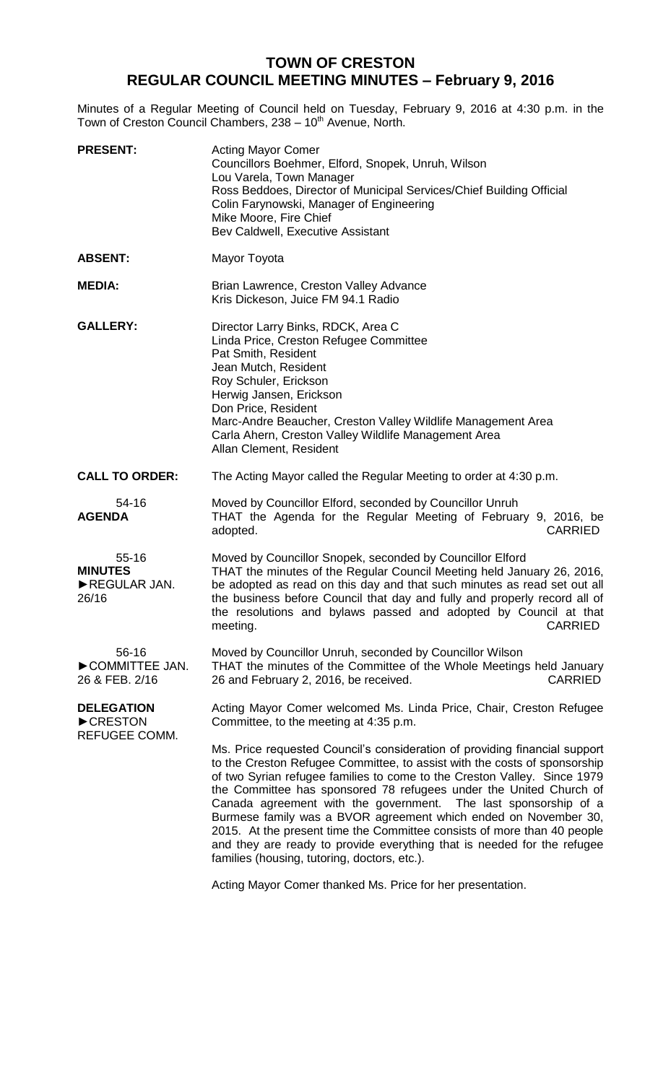## **TOWN OF CRESTON REGULAR COUNCIL MEETING MINUTES – February 9, 2016**

Minutes of a Regular Meeting of Council held on Tuesday, February 9, 2016 at 4:30 p.m. in the Town of Creston Council Chambers, 238 - 10<sup>th</sup> Avenue, North.

| <b>PRESENT:</b>                                      | <b>Acting Mayor Comer</b><br>Councillors Boehmer, Elford, Snopek, Unruh, Wilson<br>Lou Varela, Town Manager<br>Ross Beddoes, Director of Municipal Services/Chief Building Official<br>Colin Farynowski, Manager of Engineering<br>Mike Moore, Fire Chief<br>Bev Caldwell, Executive Assistant                                                                                                                                                                                                                                                                                                                                                        |
|------------------------------------------------------|-------------------------------------------------------------------------------------------------------------------------------------------------------------------------------------------------------------------------------------------------------------------------------------------------------------------------------------------------------------------------------------------------------------------------------------------------------------------------------------------------------------------------------------------------------------------------------------------------------------------------------------------------------|
| <b>ABSENT:</b>                                       | Mayor Toyota                                                                                                                                                                                                                                                                                                                                                                                                                                                                                                                                                                                                                                          |
| <b>MEDIA:</b>                                        | Brian Lawrence, Creston Valley Advance<br>Kris Dickeson, Juice FM 94.1 Radio                                                                                                                                                                                                                                                                                                                                                                                                                                                                                                                                                                          |
| <b>GALLERY:</b>                                      | Director Larry Binks, RDCK, Area C<br>Linda Price, Creston Refugee Committee<br>Pat Smith, Resident<br>Jean Mutch, Resident<br>Roy Schuler, Erickson<br>Herwig Jansen, Erickson<br>Don Price, Resident<br>Marc-Andre Beaucher, Creston Valley Wildlife Management Area<br>Carla Ahern, Creston Valley Wildlife Management Area<br>Allan Clement, Resident                                                                                                                                                                                                                                                                                             |
| <b>CALL TO ORDER:</b>                                | The Acting Mayor called the Regular Meeting to order at 4:30 p.m.                                                                                                                                                                                                                                                                                                                                                                                                                                                                                                                                                                                     |
| 54-16<br><b>AGENDA</b>                               | Moved by Councillor Elford, seconded by Councillor Unruh<br>THAT the Agenda for the Regular Meeting of February 9, 2016, be<br><b>CARRIED</b><br>adopted.                                                                                                                                                                                                                                                                                                                                                                                                                                                                                             |
| $55 - 16$<br><b>MINUTES</b><br>REGULAR JAN.<br>26/16 | Moved by Councillor Snopek, seconded by Councillor Elford<br>THAT the minutes of the Regular Council Meeting held January 26, 2016,<br>be adopted as read on this day and that such minutes as read set out all<br>the business before Council that day and fully and properly record all of<br>the resolutions and bylaws passed and adopted by Council at that<br>meeting.<br><b>CARRIED</b>                                                                                                                                                                                                                                                        |
| 56-16<br>COMMITTEE JAN.<br>26 & FEB. 2/16            | Moved by Councillor Unruh, seconded by Councillor Wilson<br>THAT the minutes of the Committee of the Whole Meetings held January<br><b>CARRIED</b><br>26 and February 2, 2016, be received.                                                                                                                                                                                                                                                                                                                                                                                                                                                           |
| <b>DELEGATION</b><br>CRESTON<br>REFUGEE COMM.        | Acting Mayor Comer welcomed Ms. Linda Price, Chair, Creston Refugee<br>Committee, to the meeting at 4:35 p.m.                                                                                                                                                                                                                                                                                                                                                                                                                                                                                                                                         |
|                                                      | Ms. Price requested Council's consideration of providing financial support<br>to the Creston Refugee Committee, to assist with the costs of sponsorship<br>of two Syrian refugee families to come to the Creston Valley. Since 1979<br>the Committee has sponsored 78 refugees under the United Church of<br>Canada agreement with the government. The last sponsorship of a<br>Burmese family was a BVOR agreement which ended on November 30,<br>2015. At the present time the Committee consists of more than 40 people<br>and they are ready to provide everything that is needed for the refugee<br>families (housing, tutoring, doctors, etc.). |
|                                                      |                                                                                                                                                                                                                                                                                                                                                                                                                                                                                                                                                                                                                                                       |

Acting Mayor Comer thanked Ms. Price for her presentation.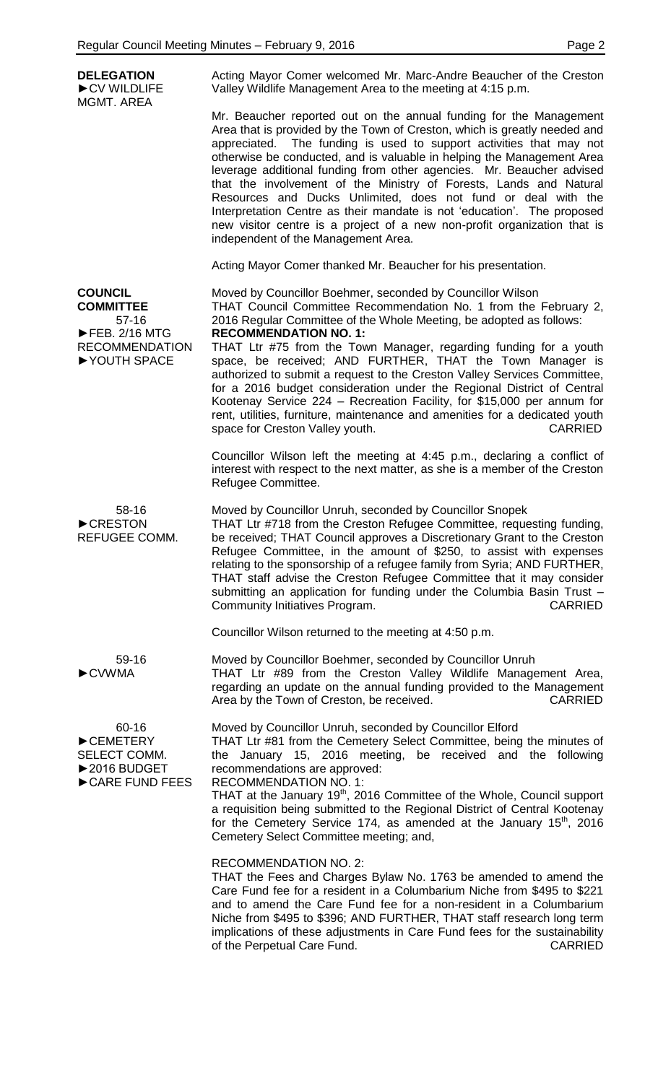**DELEGATION** ►CV WILDLIFE MGMT. AREA Acting Mayor Comer welcomed Mr. Marc-Andre Beaucher of the Creston Valley Wildlife Management Area to the meeting at 4:15 p.m. Mr. Beaucher reported out on the annual funding for the Management Area that is provided by the Town of Creston, which is greatly needed and appreciated. The funding is used to support activities that may not otherwise be conducted, and is valuable in helping the Management Area leverage additional funding from other agencies. Mr. Beaucher advised that the involvement of the Ministry of Forests, Lands and Natural Resources and Ducks Unlimited, does not fund or deal with the Interpretation Centre as their mandate is not 'education'. The proposed new visitor centre is a project of a new non-profit organization that is independent of the Management Area. Acting Mayor Comer thanked Mr. Beaucher for his presentation. **COUNCIL COMMITTEE** 57-16 ►FEB. 2/16 MTG RECOMMENDATION ►YOUTH SPACE Moved by Councillor Boehmer, seconded by Councillor Wilson THAT Council Committee Recommendation No. 1 from the February 2, 2016 Regular Committee of the Whole Meeting, be adopted as follows: **RECOMMENDATION NO. 1:** THAT Ltr #75 from the Town Manager, regarding funding for a youth space, be received; AND FURTHER, THAT the Town Manager is authorized to submit a request to the Creston Valley Services Committee, for a 2016 budget consideration under the Regional District of Central Kootenay Service 224 – Recreation Facility, for \$15,000 per annum for rent, utilities, furniture, maintenance and amenities for a dedicated youth space for Creston Valley youth. The space of CARRIED Councillor Wilson left the meeting at 4:45 p.m., declaring a conflict of interest with respect to the next matter, as she is a member of the Creston Refugee Committee. 58-16 ►CRESTON REFUGEE COMM. Moved by Councillor Unruh, seconded by Councillor Snopek THAT Ltr #718 from the Creston Refugee Committee, requesting funding, be received; THAT Council approves a Discretionary Grant to the Creston Refugee Committee, in the amount of \$250, to assist with expenses relating to the sponsorship of a refugee family from Syria; AND FURTHER, THAT staff advise the Creston Refugee Committee that it may consider submitting an application for funding under the Columbia Basin Trust – Community Initiatives Program. The CARRIED COMMUNICARRIED Councillor Wilson returned to the meeting at 4:50 p.m. 59-16 ►CVWMA Moved by Councillor Boehmer, seconded by Councillor Unruh THAT Ltr #89 from the Creston Valley Wildlife Management Area, regarding an update on the annual funding provided to the Management Area by the Town of Creston, be received. The CARRIED 60-16 ►CEMETERY SELECT COMM. ►2016 BUDGET ►CARE FUND FEES Moved by Councillor Unruh, seconded by Councillor Elford THAT Ltr #81 from the Cemetery Select Committee, being the minutes of the January 15, 2016 meeting, be received and the following recommendations are approved: RECOMMENDATION NO. 1: THAT at the January 19<sup>th</sup>, 2016 Committee of the Whole, Council support a requisition being submitted to the Regional District of Central Kootenay for the Cemetery Service 174, as amended at the January  $15<sup>th</sup>$ , 2016 Cemetery Select Committee meeting; and, RECOMMENDATION NO. 2: THAT the Fees and Charges Bylaw No. 1763 be amended to amend the Care Fund fee for a resident in a Columbarium Niche from \$495 to \$221 and to amend the Care Fund fee for a non-resident in a Columbarium Niche from \$495 to \$396; AND FURTHER, THAT staff research long term implications of these adjustments in Care Fund fees for the sustainability of the Perpetual Care Fund. The CARRIED CARRIED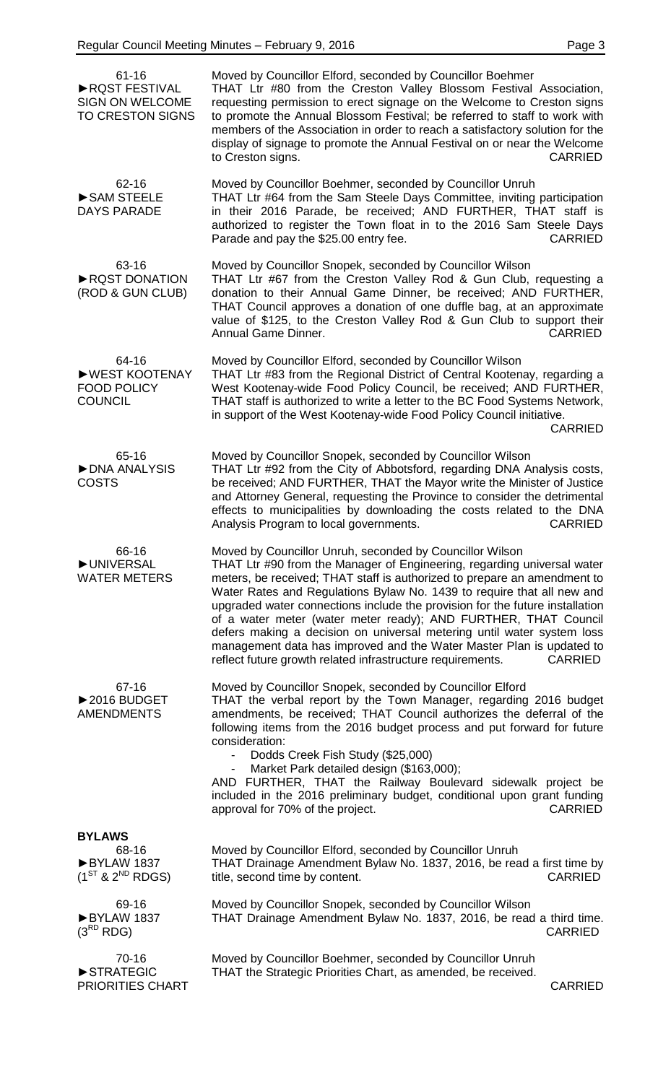|--|--|

| $61 - 16$<br>RQST FESTIVAL<br><b>SIGN ON WELCOME</b><br><b>TO CRESTON SIGNS</b> | Moved by Councillor Elford, seconded by Councillor Boehmer<br>THAT Ltr #80 from the Creston Valley Blossom Festival Association,<br>requesting permission to erect signage on the Welcome to Creston signs<br>to promote the Annual Blossom Festival; be referred to staff to work with<br>members of the Association in order to reach a satisfactory solution for the<br>display of signage to promote the Annual Festival on or near the Welcome<br>to Creston signs.<br><b>CARRIED</b>                                                                                                                                                                                     |
|---------------------------------------------------------------------------------|--------------------------------------------------------------------------------------------------------------------------------------------------------------------------------------------------------------------------------------------------------------------------------------------------------------------------------------------------------------------------------------------------------------------------------------------------------------------------------------------------------------------------------------------------------------------------------------------------------------------------------------------------------------------------------|
| 62-16<br>SAM STEELE<br><b>DAYS PARADE</b>                                       | Moved by Councillor Boehmer, seconded by Councillor Unruh<br>THAT Ltr #64 from the Sam Steele Days Committee, inviting participation<br>in their 2016 Parade, be received; AND FURTHER, THAT staff is<br>authorized to register the Town float in to the 2016 Sam Steele Days<br>Parade and pay the \$25.00 entry fee.<br><b>CARRIED</b>                                                                                                                                                                                                                                                                                                                                       |
| 63-16<br>RQST DONATION<br>(ROD & GUN CLUB)                                      | Moved by Councillor Snopek, seconded by Councillor Wilson<br>THAT Ltr #67 from the Creston Valley Rod & Gun Club, requesting a<br>donation to their Annual Game Dinner, be received; AND FURTHER,<br>THAT Council approves a donation of one duffle bag, at an approximate<br>value of \$125, to the Creston Valley Rod & Gun Club to support their<br>Annual Game Dinner.<br><b>CARRIED</b>                                                                                                                                                                                                                                                                                   |
| 64-16<br>▶ WEST KOOTENAY<br><b>FOOD POLICY</b><br><b>COUNCIL</b>                | Moved by Councillor Elford, seconded by Councillor Wilson<br>THAT Ltr #83 from the Regional District of Central Kootenay, regarding a<br>West Kootenay-wide Food Policy Council, be received; AND FURTHER,<br>THAT staff is authorized to write a letter to the BC Food Systems Network,<br>in support of the West Kootenay-wide Food Policy Council initiative.<br><b>CARRIED</b>                                                                                                                                                                                                                                                                                             |
| 65-16<br>DNA ANALYSIS<br><b>COSTS</b>                                           | Moved by Councillor Snopek, seconded by Councillor Wilson<br>THAT Ltr #92 from the City of Abbotsford, regarding DNA Analysis costs,<br>be received; AND FURTHER, THAT the Mayor write the Minister of Justice<br>and Attorney General, requesting the Province to consider the detrimental<br>effects to municipalities by downloading the costs related to the DNA<br>Analysis Program to local governments.<br><b>CARRIED</b>                                                                                                                                                                                                                                               |
| 66-16<br><b>DUNIVERSAL</b><br><b>WATER METERS</b>                               | Moved by Councillor Unruh, seconded by Councillor Wilson<br>THAT Ltr #90 from the Manager of Engineering, regarding universal water<br>meters, be received; THAT staff is authorized to prepare an amendment to<br>Water Rates and Regulations Bylaw No. 1439 to require that all new and<br>upgraded water connections include the provision for the future installation<br>of a water meter (water meter ready); AND FURTHER, THAT Council<br>defers making a decision on universal metering until water system loss<br>management data has improved and the Water Master Plan is updated to<br>reflect future growth related infrastructure requirements.<br><b>CARRIED</b> |
| 67-16<br>▶2016 BUDGET<br><b>AMENDMENTS</b>                                      | Moved by Councillor Snopek, seconded by Councillor Elford<br>THAT the verbal report by the Town Manager, regarding 2016 budget<br>amendments, be received; THAT Council authorizes the deferral of the<br>following items from the 2016 budget process and put forward for future<br>consideration:<br>Dodds Creek Fish Study (\$25,000)<br>Market Park detailed design (\$163,000);<br>$\overline{\phantom{a}}$<br>AND FURTHER, THAT the Railway Boulevard sidewalk project be<br>included in the 2016 preliminary budget, conditional upon grant funding<br><b>CARRIED</b><br>approval for 70% of the project.                                                               |
| <b>BYLAWS</b><br>68-16<br>BYLAW 1837<br>$(1^{ST}$ & $2^{ND}$ RDGS)              | Moved by Councillor Elford, seconded by Councillor Unruh<br>THAT Drainage Amendment Bylaw No. 1837, 2016, be read a first time by<br>title, second time by content.<br><b>CARRIED</b>                                                                                                                                                                                                                                                                                                                                                                                                                                                                                          |
| 69-16<br>BYLAW 1837<br>$(3^{RD}$ RDG)                                           | Moved by Councillor Snopek, seconded by Councillor Wilson<br>THAT Drainage Amendment Bylaw No. 1837, 2016, be read a third time.<br><b>CARRIED</b>                                                                                                                                                                                                                                                                                                                                                                                                                                                                                                                             |
| 70-16<br>STRATEGIC<br>PRIORITIES CHART                                          | Moved by Councillor Boehmer, seconded by Councillor Unruh<br>THAT the Strategic Priorities Chart, as amended, be received.<br><b>CARRIED</b>                                                                                                                                                                                                                                                                                                                                                                                                                                                                                                                                   |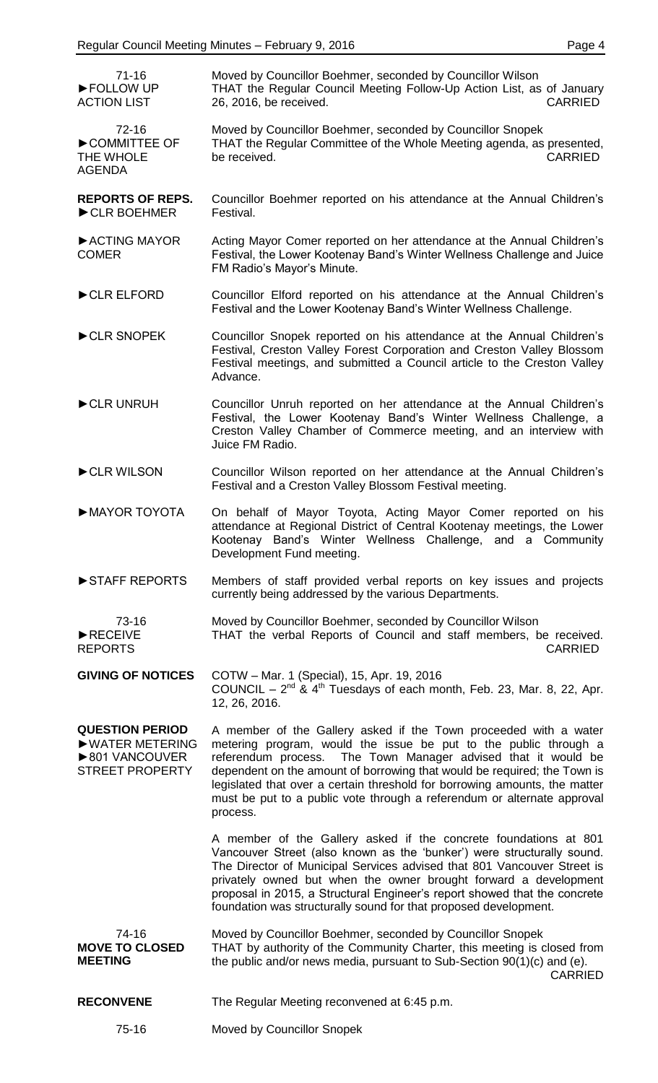| $71 - 16$<br>FOLLOW UP<br><b>ACTION LIST</b>                                           | Moved by Councillor Boehmer, seconded by Councillor Wilson<br>THAT the Regular Council Meeting Follow-Up Action List, as of January<br>26, 2016, be received.<br><b>CARRIED</b>                                                                                                                                                                                                                                                                        |
|----------------------------------------------------------------------------------------|--------------------------------------------------------------------------------------------------------------------------------------------------------------------------------------------------------------------------------------------------------------------------------------------------------------------------------------------------------------------------------------------------------------------------------------------------------|
| $72 - 16$<br>COMMITTEE OF<br>THE WHOLE<br><b>AGENDA</b>                                | Moved by Councillor Boehmer, seconded by Councillor Snopek<br>THAT the Regular Committee of the Whole Meeting agenda, as presented,<br>be received.<br><b>CARRIED</b>                                                                                                                                                                                                                                                                                  |
| <b>REPORTS OF REPS.</b><br>CLR BOEHMER                                                 | Councillor Boehmer reported on his attendance at the Annual Children's<br>Festival.                                                                                                                                                                                                                                                                                                                                                                    |
| ACTING MAYOR<br><b>COMER</b>                                                           | Acting Mayor Comer reported on her attendance at the Annual Children's<br>Festival, the Lower Kootenay Band's Winter Wellness Challenge and Juice<br>FM Radio's Mayor's Minute.                                                                                                                                                                                                                                                                        |
| CLR ELFORD                                                                             | Councillor Elford reported on his attendance at the Annual Children's<br>Festival and the Lower Kootenay Band's Winter Wellness Challenge.                                                                                                                                                                                                                                                                                                             |
| CLR SNOPEK                                                                             | Councillor Snopek reported on his attendance at the Annual Children's<br>Festival, Creston Valley Forest Corporation and Creston Valley Blossom<br>Festival meetings, and submitted a Council article to the Creston Valley<br>Advance.                                                                                                                                                                                                                |
| CLR UNRUH                                                                              | Councillor Unruh reported on her attendance at the Annual Children's<br>Festival, the Lower Kootenay Band's Winter Wellness Challenge, a<br>Creston Valley Chamber of Commerce meeting, and an interview with<br>Juice FM Radio.                                                                                                                                                                                                                       |
| CLR WILSON                                                                             | Councillor Wilson reported on her attendance at the Annual Children's<br>Festival and a Creston Valley Blossom Festival meeting.                                                                                                                                                                                                                                                                                                                       |
| MAYOR TOYOTA                                                                           | On behalf of Mayor Toyota, Acting Mayor Comer reported on his<br>attendance at Regional District of Central Kootenay meetings, the Lower<br>Kootenay Band's Winter Wellness Challenge, and a Community<br>Development Fund meeting.                                                                                                                                                                                                                    |
| STAFF REPORTS                                                                          | Members of staff provided verbal reports on key issues and projects<br>currently being addressed by the various Departments.                                                                                                                                                                                                                                                                                                                           |
| 73-16<br>$\blacktriangleright$ RECEIVE<br><b>REPORTS</b>                               | Moved by Councillor Boehmer, seconded by Councillor Wilson<br>THAT the verbal Reports of Council and staff members, be received.<br><b>CARRIED</b>                                                                                                                                                                                                                                                                                                     |
| <b>GIVING OF NOTICES</b>                                                               | COTW - Mar. 1 (Special), 15, Apr. 19, 2016<br>COUNCIL – $2^{nd}$ & $4^{th}$ Tuesdays of each month, Feb. 23, Mar. 8, 22, Apr.<br>12, 26, 2016.                                                                                                                                                                                                                                                                                                         |
| <b>QUESTION PERIOD</b><br>▶ WATER METERING<br>▶801 VANCOUVER<br><b>STREET PROPERTY</b> | A member of the Gallery asked if the Town proceeded with a water<br>metering program, would the issue be put to the public through a<br>referendum process. The Town Manager advised that it would be<br>dependent on the amount of borrowing that would be required; the Town is<br>legislated that over a certain threshold for borrowing amounts, the matter<br>must be put to a public vote through a referendum or alternate approval<br>process. |
|                                                                                        | A member of the Gallery asked if the concrete foundations at 801<br>Vancouver Street (also known as the 'bunker') were structurally sound.<br>The Director of Municipal Services advised that 801 Vancouver Street is<br>privately owned but when the owner brought forward a development<br>proposal in 2015, a Structural Engineer's report showed that the concrete<br>foundation was structurally sound for that proposed development.             |
| 74-16<br><b>MOVE TO CLOSED</b><br><b>MEETING</b>                                       | Moved by Councillor Boehmer, seconded by Councillor Snopek<br>THAT by authority of the Community Charter, this meeting is closed from<br>the public and/or news media, pursuant to Sub-Section 90(1)(c) and (e).<br><b>CARRIED</b>                                                                                                                                                                                                                     |
| <b>RECONVENE</b>                                                                       | The Regular Meeting reconvened at 6:45 p.m.                                                                                                                                                                                                                                                                                                                                                                                                            |
| 75-16                                                                                  | Moved by Councillor Snopek                                                                                                                                                                                                                                                                                                                                                                                                                             |